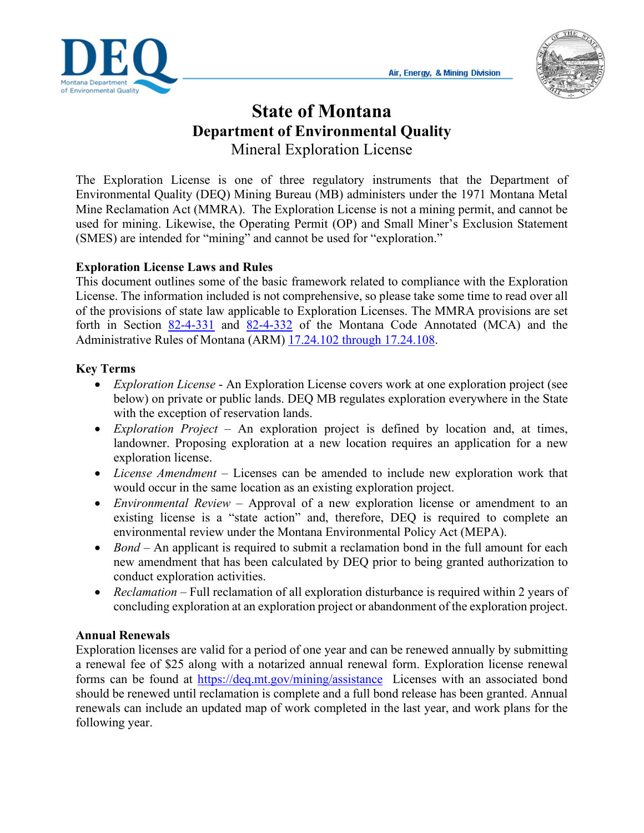



# **State of Montana Department of Environmental Quality** Mineral Exploration License

The Exploration License is one of three regulatory instruments that the Department of Environmental Quality (DEQ) Mining Bureau (MB) administers under the 1971 Montana Metal Mine Reclamation Act (MMRA). The Exploration License is not a mining permit, and cannot be used for mining. Likewise, the Operating Permit (OP) and Small Miner's Exclusion Statement (SMES) are intended for "mining" and cannot be used for "exploration."

## **Exploration License Laws and Rules**

This document outlines some of the basic framework related to compliance with the Exploration License. The information included is not comprehensive, so please take some time to read over all of the provisions of state law applicable to Exploration Licenses. The MMRA provisions are set forth in Section [82-4-331](https://leg.mt.gov/bills/mca/title_0820/chapter_0040/part_0030/section_0310/0820-0040-0030-0310.html) and [82-4-332](https://leg.mt.gov/bills/mca/title_0820/chapter_0040/part_0030/section_0320/0820-0040-0030-0320.html) of the Montana Code Annotated (MCA) and the Administrative Rules of Montana (ARM) [17.24.102 through 17.24.108.](https://rules.mt.gov/gateway/ChapterHome.asp?Chapter=17%2E24)

## **Key Terms**

- *Exploration License* An Exploration License covers work at one exploration project (see below) on private or public lands. DEQ MB regulates exploration everywhere in the State with the exception of reservation lands.
- *Exploration Project* An exploration project is defined by location and, at times, landowner. Proposing exploration at a new location requires an application for a new exploration license.
- *License Amendment* Licenses can be amended to include new exploration work that would occur in the same location as an existing exploration project.
- *Environmental Review* Approval of a new exploration license or amendment to an existing license is a "state action" and, therefore, DEQ is required to complete an environmental review under the Montana Environmental Policy Act (MEPA).
- *Bond* An applicant is required to submit a reclamation bond in the full amount for each new amendment that has been calculated by DEQ prior to being granted authorization to conduct exploration activities.
- *Reclamation* Full reclamation of all exploration disturbance is required within 2 years of concluding exploration at an exploration project or abandonment of the exploration project.

## **Annual Renewals**

Exploration licenses are valid for a period of one year and can be renewed annually by submitting a renewal fee of \$25 along with a notarized annual renewal form. Exploration license renewal forms can be found at<https://deq.mt.gov/mining/assistance>Licenses with an associated bond should be renewed until reclamation is complete and a full bond release has been granted. Annual renewals can include an updated map of work completed in the last year, and work plans for the following year.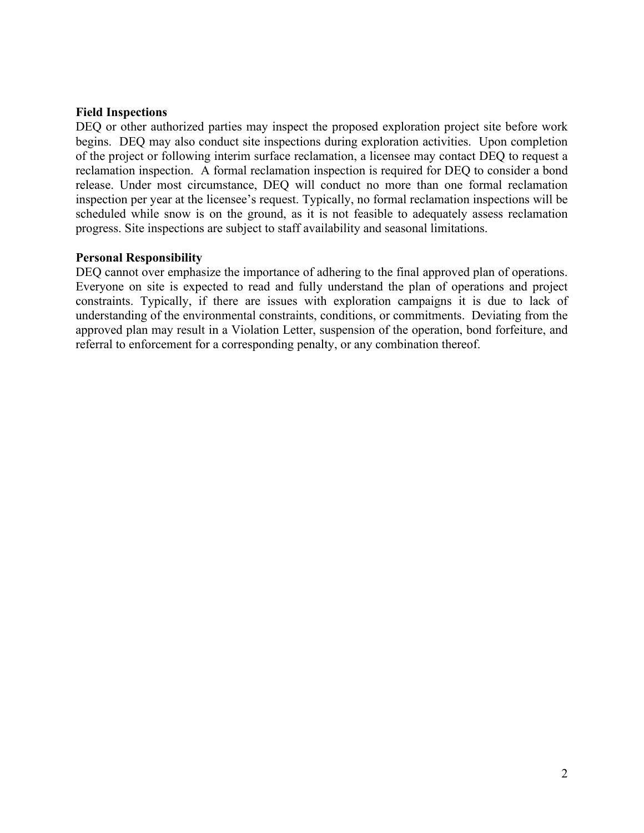#### **Field Inspections**

DEQ or other authorized parties may inspect the proposed exploration project site before work begins. DEQ may also conduct site inspections during exploration activities. Upon completion of the project or following interim surface reclamation, a licensee may contact DEQ to request a reclamation inspection. A formal reclamation inspection is required for DEQ to consider a bond release. Under most circumstance, DEQ will conduct no more than one formal reclamation inspection per year at the licensee's request. Typically, no formal reclamation inspections will be scheduled while snow is on the ground, as it is not feasible to adequately assess reclamation progress. Site inspections are subject to staff availability and seasonal limitations.

### **Personal Responsibility**

DEQ cannot over emphasize the importance of adhering to the final approved plan of operations. Everyone on site is expected to read and fully understand the plan of operations and project constraints. Typically, if there are issues with exploration campaigns it is due to lack of understanding of the environmental constraints, conditions, or commitments. Deviating from the approved plan may result in a Violation Letter, suspension of the operation, bond forfeiture, and referral to enforcement for a corresponding penalty, or any combination thereof.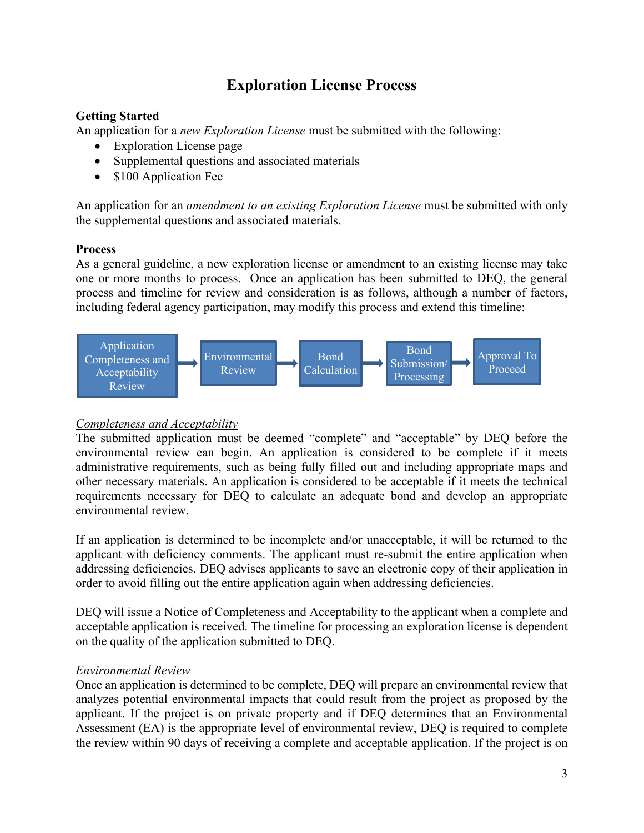## **Exploration License Process**

## **Getting Started**

An application for a *new Exploration License* must be submitted with the following:

- Exploration License page
- Supplemental questions and associated materials
- \$100 Application Fee

An application for an *amendment to an existing Exploration License* must be submitted with only the supplemental questions and associated materials.

### **Process**

As a general guideline, a new exploration license or amendment to an existing license may take one or more months to process. Once an application has been submitted to DEQ, the general process and timeline for review and consideration is as follows, although a number of factors, including federal agency participation, may modify this process and extend this timeline:



## *Completeness and Acceptability*

The submitted application must be deemed "complete" and "acceptable" by DEQ before the environmental review can begin. An application is considered to be complete if it meets administrative requirements, such as being fully filled out and including appropriate maps and other necessary materials. An application is considered to be acceptable if it meets the technical requirements necessary for DEQ to calculate an adequate bond and develop an appropriate environmental review.

If an application is determined to be incomplete and/or unacceptable, it will be returned to the applicant with deficiency comments. The applicant must re-submit the entire application when addressing deficiencies. DEQ advises applicants to save an electronic copy of their application in order to avoid filling out the entire application again when addressing deficiencies.

DEQ will issue a Notice of Completeness and Acceptability to the applicant when a complete and acceptable application is received. The timeline for processing an exploration license is dependent on the quality of the application submitted to DEQ.

## *Environmental Review*

Once an application is determined to be complete, DEQ will prepare an environmental review that analyzes potential environmental impacts that could result from the project as proposed by the applicant. If the project is on private property and if DEQ determines that an Environmental Assessment (EA) is the appropriate level of environmental review, DEQ is required to complete the review within 90 days of receiving a complete and acceptable application. If the project is on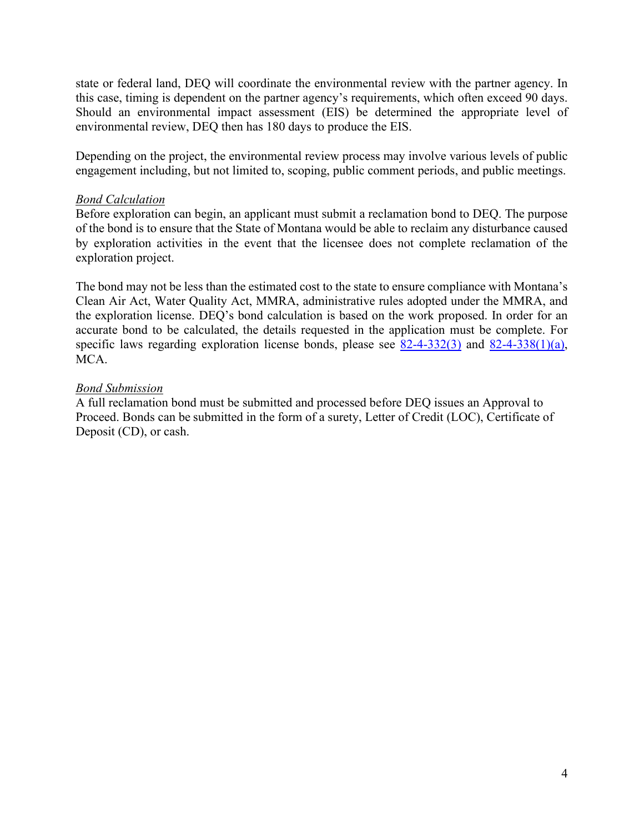state or federal land, DEQ will coordinate the environmental review with the partner agency. In this case, timing is dependent on the partner agency's requirements, which often exceed 90 days. Should an environmental impact assessment (EIS) be determined the appropriate level of environmental review, DEQ then has 180 days to produce the EIS.

Depending on the project, the environmental review process may involve various levels of public engagement including, but not limited to, scoping, public comment periods, and public meetings.

#### *Bond Calculation*

Before exploration can begin, an applicant must submit a reclamation bond to DEQ. The purpose of the bond is to ensure that the State of Montana would be able to reclaim any disturbance caused by exploration activities in the event that the licensee does not complete reclamation of the exploration project.

The bond may not be less than the estimated cost to the state to ensure compliance with Montana's Clean Air Act, Water Quality Act, MMRA, administrative rules adopted under the MMRA, and the exploration license. DEQ's bond calculation is based on the work proposed. In order for an accurate bond to be calculated, the details requested in the application must be complete. For specific laws regarding exploration license bonds, please see  $82-4-332(3)$  and  $82-4-338(1)(a)$ , MCA.

#### *Bond Submission*

A full reclamation bond must be submitted and processed before DEQ issues an Approval to Proceed. Bonds can be submitted in the form of a surety, Letter of Credit (LOC), Certificate of Deposit (CD), or cash.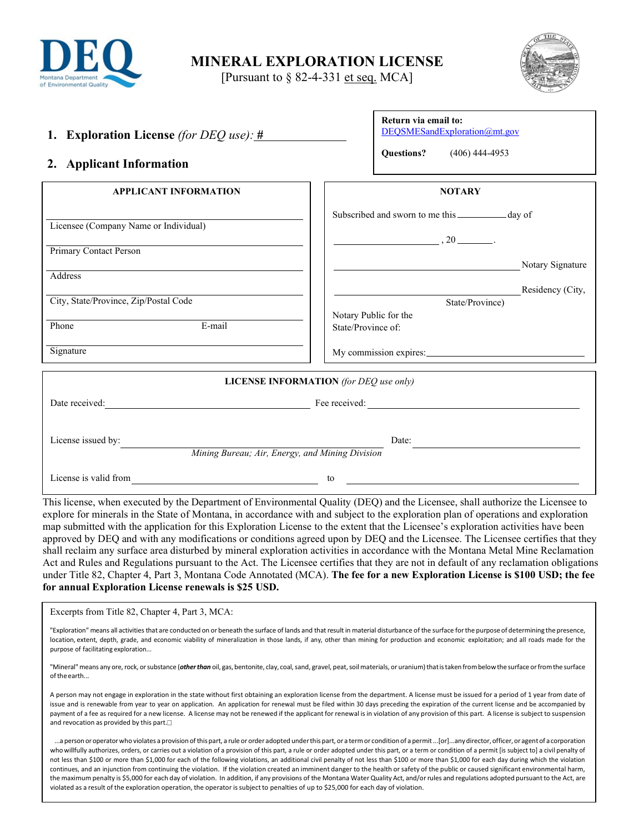

**MINERAL EXPLORATION LICENSE** 

[Pursuant to  $\S$  82-4-331 et seq. MCA]



| <b>Exploration License</b> (for DEQ use): $\#$<br>1.                                                                                                | Return via email to:<br>DEQSMESandExploration@mt.gov                                                                                                                                                                                                                                                     |  |
|-----------------------------------------------------------------------------------------------------------------------------------------------------|----------------------------------------------------------------------------------------------------------------------------------------------------------------------------------------------------------------------------------------------------------------------------------------------------------|--|
| 2. Applicant Information                                                                                                                            | <b>Questions?</b> (406) 444-4953                                                                                                                                                                                                                                                                         |  |
| <b>APPLICANT INFORMATION</b>                                                                                                                        | <b>NOTARY</b>                                                                                                                                                                                                                                                                                            |  |
| Licensee (Company Name or Individual)<br>Primary Contact Person<br>Address<br>City, State/Province, Zip/Postal Code<br>E-mail<br>Phone<br>Signature | Subscribed and sworn to me this <u>equal</u> day of<br>$\overbrace{\hspace{2.5cm}}$ , 20 $\overbrace{\hspace{2.5cm}}$ .<br>Notary Signature<br><u> 1989 - Johann Stein, mars an deus Amerikaansk kommunister (</u><br>Residency (City,<br>State/Province)<br>Notary Public for the<br>State/Province of: |  |
| <b>LICENSE INFORMATION</b> (for DEQ use only)                                                                                                       |                                                                                                                                                                                                                                                                                                          |  |
| Date received:                                                                                                                                      | $\blacksquare$ Free received: $\blacksquare$                                                                                                                                                                                                                                                             |  |
| License issued by:<br><u> a shekara t</u><br>Mining Bureau; Air, Energy, and Mining Division                                                        | Date:                                                                                                                                                                                                                                                                                                    |  |
| License is valid from                                                                                                                               | to<br>the control of the control of the control of the control of the control of the control of                                                                                                                                                                                                          |  |

This license, when executed by the Department of Environmental Quality (DEQ) and the Licensee, shall authorize the Licensee to explore for minerals in the State of Montana, in accordance with and subject to the exploration plan of operations and exploration map submitted with the application for this Exploration License to the extent that the Licensee's exploration activities have been approved by DEQ and with any modifications or conditions agreed upon by DEQ and the Licensee. The Licensee certifies that they shall reclaim any surface area disturbed by mineral exploration activities in accordance with the Montana Metal Mine Reclamation Act and Rules and Regulations pursuant to the Act. The Licensee certifies that they are not in default of any reclamation obligations under Title 82, Chapter 4, Part 3, Montana Code Annotated (MCA). **The fee for a new Exploration License is \$100 USD; the fee for annual Exploration License renewals is \$25 USD.**

Excerpts from Title 82, Chapter 4, Part 3, MCA:

"Exploration" means all activities that are conducted on or beneath the surface of lands and that result in material disturbance of the surface for the purpose of determining the presence, location, extent, depth, grade, and economic viability of mineralization in those lands, if any, other than mining for production and economic exploitation; and all roads made for the purpose of facilitating exploration...

"Mineral" means any ore, rock, or substance (other than oil, gas, bentonite, clay, coal, sand, gravel, peat, soil materials, or uranium) that is taken from below the surface or from the surface oftheearth...

A person may not engage in exploration in the state without first obtaining an exploration license from the department. A license must be issued for a period of 1 year from date of issue and is renewable from year to year on application. An application for renewal must be filed within 30 days preceding the expiration of the current license and be accompanied by payment of a fee as required for a new license. A license may not be renewed if the applicant for renewal is in violation of any provision of this part. A license is subject to suspension and revocation as provided by this part.

...a personoroperatorwho violates a provisionofthispart, a rule or order adopted underthispart, ora termor conditionof a permit...[or]...anydirector,officer,oragentof acorporation who willfully authorizes, orders, or carries out a violation of a provision of this part, a rule or order adopted under this part, or a term or condition of a permit [is subject to] a civil penalty of not less than \$100 or more than \$1,000 for each of the following violations, an additional civil penalty of not less than \$100 or more than \$1,000 for each day during which the violation continues, and an injunction from continuing the violation. If the violation created an imminent danger to the health or safety of the public or caused significant environmental harm, the maximum penalty is \$5,000 for each day of violation. In addition, if any provisions of the Montana Water Quality Act, and/or rules and regulations adopted pursuant to the Act, are violated as a result of the exploration operation, the operator is subjectto penalties of up to \$25,000 for each day of violation.